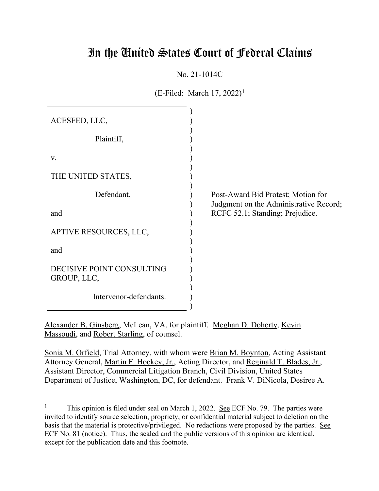# In the United States Court of Federal Claims

No. 21-1014C

 $(E\text{-Filed: March } 17, 2022)^1$ 

| ACESFED, LLC,                            |                                                                              |
|------------------------------------------|------------------------------------------------------------------------------|
| Plaintiff,                               |                                                                              |
| V.                                       |                                                                              |
| THE UNITED STATES,                       |                                                                              |
| Defendant,                               | Post-Award Bid Protest; Motion for<br>Judgment on the Administrative Record; |
| and                                      | RCFC 52.1; Standing; Prejudice.                                              |
| APTIVE RESOURCES, LLC,                   |                                                                              |
| and                                      |                                                                              |
| DECISIVE POINT CONSULTING<br>GROUP, LLC, |                                                                              |
| Intervenor-defendants.                   |                                                                              |

Alexander B. Ginsberg, McLean, VA, for plaintiff. Meghan D. Doherty, Kevin Massoudi, and Robert Starling, of counsel.

Sonia M. Orfield, Trial Attorney, with whom were Brian M. Boynton, Acting Assistant Attorney General, Martin F. Hockey, Jr., Acting Director, and Reginald T. Blades, Jr., Assistant Director, Commercial Litigation Branch, Civil Division, United States Department of Justice, Washington, DC, for defendant. Frank V. DiNicola, Desiree A.

<sup>&</sup>lt;sup>1</sup> This opinion is filed under seal on March 1, 2022. <u>See</u> ECF No. 79. The parties were invited to identify source selection, propriety, or confidential material subject to deletion on the basis that the material is protective/privileged. No redactions were proposed by the parties. See ECF No. 81 (notice). Thus, the sealed and the public versions of this opinion are identical, except for the publication date and this footnote.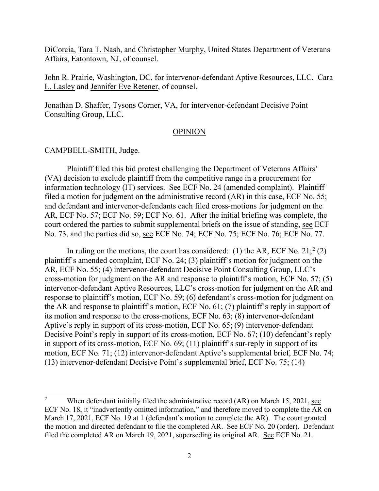DiCorcia, Tara T. Nash, and Christopher Murphy, United States Department of Veterans Affairs, Eatontown, NJ, of counsel.

John R. Prairie, Washington, DC, for intervenor-defendant Aptive Resources, LLC. Cara L. Lasley and Jennifer Eve Retener, of counsel.

Jonathan D. Shaffer, Tysons Corner, VA, for intervenor-defendant Decisive Point Consulting Group, LLC.

#### OPINION

CAMPBELL-SMITH, Judge.

Plaintiff filed this bid protest challenging the Department of Veterans Affairs' (VA) decision to exclude plaintiff from the competitive range in a procurement for information technology (IT) services. See ECF No. 24 (amended complaint). Plaintiff filed a motion for judgment on the administrative record (AR) in this case, ECF No. 55; and defendant and intervenor-defendants each filed cross-motions for judgment on the AR, ECF No. 57; ECF No. 59; ECF No. 61. After the initial briefing was complete, the court ordered the parties to submit supplemental briefs on the issue of standing, see ECF No. 73, and the parties did so, see ECF No. 74; ECF No. 75; ECF No. 76; ECF No. 77.

In ruling on the motions, the court has considered: (1) the AR, ECF No.  $21$ ;  $2$  (2) plaintiff's amended complaint, ECF No. 24; (3) plaintiff's motion for judgment on the AR, ECF No. 55; (4) intervenor-defendant Decisive Point Consulting Group, LLC's cross-motion for judgment on the AR and response to plaintiff's motion, ECF No. 57; (5) intervenor-defendant Aptive Resources, LLC's cross-motion for judgment on the AR and response to plaintiff's motion, ECF No. 59; (6) defendant's cross-motion for judgment on the AR and response to plaintiff's motion, ECF No. 61; (7) plaintiff's reply in support of its motion and response to the cross-motions, ECF No. 63; (8) intervenor-defendant Aptive's reply in support of its cross-motion, ECF No. 65; (9) intervenor-defendant Decisive Point's reply in support of its cross-motion, ECF No. 67; (10) defendant's reply in support of its cross-motion, ECF No. 69; (11) plaintiff's sur-reply in support of its motion, ECF No. 71; (12) intervenor-defendant Aptive's supplemental brief, ECF No. 74; (13) intervenor-defendant Decisive Point's supplemental brief, ECF No. 75; (14)

<sup>&</sup>lt;sup>2</sup> When defendant initially filed the administrative record  $(AR)$  on March 15, 2021, see ECF No. 18, it "inadvertently omitted information," and therefore moved to complete the AR on March 17, 2021, ECF No. 19 at 1 (defendant's motion to complete the AR). The court granted the motion and directed defendant to file the completed AR. See ECF No. 20 (order). Defendant filed the completed AR on March 19, 2021, superseding its original AR. See ECF No. 21.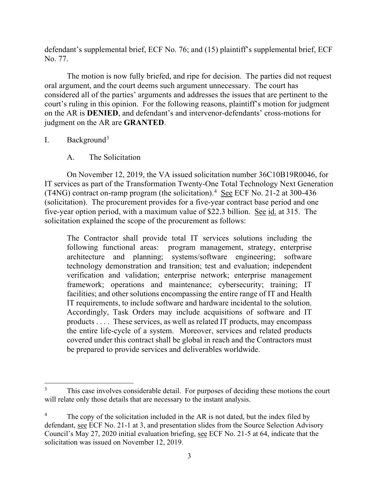defendant's supplemental brief, ECF No. 76; and (15) plaintiff's supplemental brief, ECF No. 77.

The motion is now fully briefed, and ripe for decision. The parties did not request oral argument, and the court deems such argument unnecessary. The court has considered all of the parties' arguments and addresses the issues that are pertinent to the court's ruling in this opinion. For the following reasons, plaintiff's motion for judgment on the AR is **DENIED**, and defendant's and intervenor-defendants' cross-motions for judgment on the AR are **GRANTED**.

I. Background3

A. The Solicitation

On November 12, 2019, the VA issued solicitation number 36C10B19R0046, for IT services as part of the Transformation Twenty-One Total Technology Next Generation (T4NG) contract on-ramp program (the solicitation).<sup>4</sup> See ECF No. 21-2 at 300-436 (solicitation). The procurement provides for a five-year contract base period and one five-year option period, with a maximum value of \$22.3 billion. See id. at 315. The solicitation explained the scope of the procurement as follows:

The Contractor shall provide total IT services solutions including the following functional areas: program management, strategy, enterprise architecture and planning; systems/software engineering; software technology demonstration and transition; test and evaluation; independent verification and validation; enterprise network; enterprise management framework; operations and maintenance; cybersecurity; training; IT facilities; and other solutions encompassing the entire range of IT and Health IT requirements, to include software and hardware incidental to the solution. Accordingly, Task Orders may include acquisitions of software and IT products . . . . These services, as well as related IT products, may encompass the entire life-cycle of a system. Moreover, services and related products covered under this contract shall be global in reach and the Contractors must be prepared to provide services and deliverables worldwide.

<sup>&</sup>lt;sup>3</sup> This case involves considerable detail. For purposes of deciding these motions the court will relate only those details that are necessary to the instant analysis.

The copy of the solicitation included in the AR is not dated, but the index filed by defendant, see ECF No. 21-1 at 3, and presentation slides from the Source Selection Advisory Council's May 27, 2020 initial evaluation briefing, see ECF No. 21-5 at 64, indicate that the solicitation was issued on November 12, 2019.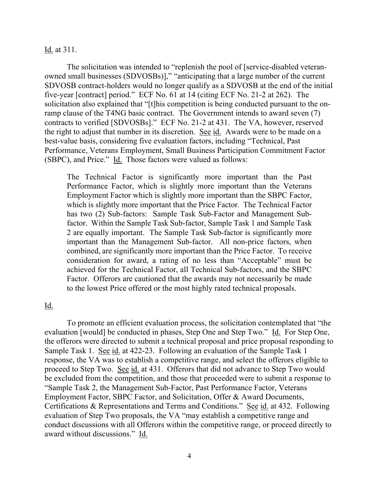#### Id. at 311.

The solicitation was intended to "replenish the pool of [service-disabled veteranowned small businesses (SDVOSBs)]," "anticipating that a large number of the current SDVOSB contract-holders would no longer qualify as a SDVOSB at the end of the initial five-year [contract] period." ECF No. 61 at 14 (citing ECF No. 21-2 at 262). The solicitation also explained that "[t]his competition is being conducted pursuant to the onramp clause of the T4NG basic contract. The Government intends to award seven (7) contracts to verified [SDVOSBs]." ECF No. 21-2 at 431. The VA, however, reserved the right to adjust that number in its discretion. See id. Awards were to be made on a best-value basis, considering five evaluation factors, including "Technical, Past Performance, Veterans Employment, Small Business Participation Commitment Factor (SBPC), and Price." Id. Those factors were valued as follows:

The Technical Factor is significantly more important than the Past Performance Factor, which is slightly more important than the Veterans Employment Factor which is slightly more important than the SBPC Factor, which is slightly more important that the Price Factor. The Technical Factor has two (2) Sub-factors: Sample Task Sub-Factor and Management Subfactor. Within the Sample Task Sub-factor, Sample Task 1 and Sample Task 2 are equally important. The Sample Task Sub-factor is significantly more important than the Management Sub-factor. All non-price factors, when combined, are significantly more important than the Price Factor. To receive consideration for award, a rating of no less than "Acceptable" must be achieved for the Technical Factor, all Technical Sub-factors, and the SBPC Factor. Offerors are cautioned that the awards may not necessarily be made to the lowest Price offered or the most highly rated technical proposals.

# Id.

To promote an efficient evaluation process, the solicitation contemplated that "the evaluation [would] be conducted in phases, Step One and Step Two." Id. For Step One, the offerors were directed to submit a technical proposal and price proposal responding to Sample Task 1. See id. at 422-23. Following an evaluation of the Sample Task 1 response, the VA was to establish a competitive range, and select the offerors eligible to proceed to Step Two. See id. at 431. Offerors that did not advance to Step Two would be excluded from the competition, and those that proceeded were to submit a response to "Sample Task 2, the Management Sub-Factor, Past Performance Factor, Veterans Employment Factor, SBPC Factor, and Solicitation, Offer & Award Documents, Certifications & Representations and Terms and Conditions." See id. at 432. Following evaluation of Step Two proposals, the VA "may establish a competitive range and conduct discussions with all Offerors within the competitive range, or proceed directly to award without discussions." Id.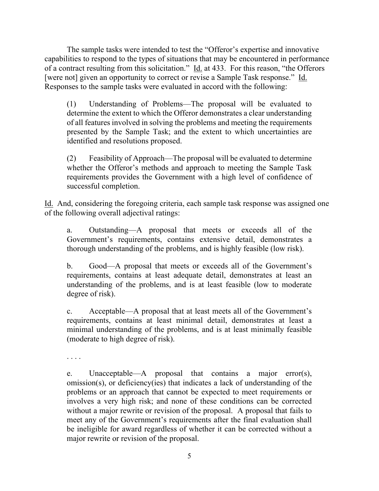The sample tasks were intended to test the "Offeror's expertise and innovative capabilities to respond to the types of situations that may be encountered in performance of a contract resulting from this solicitation." Id. at 433. For this reason, "the Offerors [were not] given an opportunity to correct or revise a Sample Task response." Id. Responses to the sample tasks were evaluated in accord with the following:

(1) Understanding of Problems—The proposal will be evaluated to determine the extent to which the Offeror demonstrates a clear understanding of all features involved in solving the problems and meeting the requirements presented by the Sample Task; and the extent to which uncertainties are identified and resolutions proposed.

(2) Feasibility of Approach—The proposal will be evaluated to determine whether the Offeror's methods and approach to meeting the Sample Task requirements provides the Government with a high level of confidence of successful completion.

Id. And, considering the foregoing criteria, each sample task response was assigned one of the following overall adjectival ratings:

a. Outstanding—A proposal that meets or exceeds all of the Government's requirements, contains extensive detail, demonstrates a thorough understanding of the problems, and is highly feasible (low risk).

b. Good—A proposal that meets or exceeds all of the Government's requirements, contains at least adequate detail, demonstrates at least an understanding of the problems, and is at least feasible (low to moderate degree of risk).

c. Acceptable—A proposal that at least meets all of the Government's requirements, contains at least minimal detail, demonstrates at least a minimal understanding of the problems, and is at least minimally feasible (moderate to high degree of risk).

. . . .

e. Unacceptable—A proposal that contains a major error(s), omission(s), or deficiency(ies) that indicates a lack of understanding of the problems or an approach that cannot be expected to meet requirements or involves a very high risk; and none of these conditions can be corrected without a major rewrite or revision of the proposal. A proposal that fails to meet any of the Government's requirements after the final evaluation shall be ineligible for award regardless of whether it can be corrected without a major rewrite or revision of the proposal.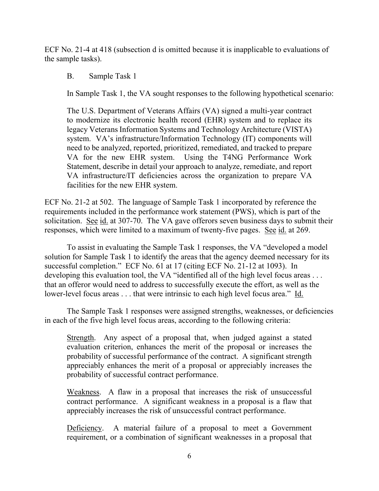ECF No. 21-4 at 418 (subsection d is omitted because it is inapplicable to evaluations of the sample tasks).

B. Sample Task 1

In Sample Task 1, the VA sought responses to the following hypothetical scenario:

The U.S. Department of Veterans Affairs (VA) signed a multi-year contract to modernize its electronic health record (EHR) system and to replace its legacy Veterans Information Systems and Technology Architecture (VISTA) system. VA's infrastructure/Information Technology (IT) components will need to be analyzed, reported, prioritized, remediated, and tracked to prepare VA for the new EHR system. Using the T4NG Performance Work Statement, describe in detail your approach to analyze, remediate, and report VA infrastructure/IT deficiencies across the organization to prepare VA facilities for the new EHR system.

ECF No. 21-2 at 502. The language of Sample Task 1 incorporated by reference the requirements included in the performance work statement (PWS), which is part of the solicitation. See id. at 307-70. The VA gave offerors seven business days to submit their responses, which were limited to a maximum of twenty-five pages. See id. at 269.

To assist in evaluating the Sample Task 1 responses, the VA "developed a model solution for Sample Task 1 to identify the areas that the agency deemed necessary for its successful completion." ECF No. 61 at 17 (citing ECF No. 21-12 at 1093). In developing this evaluation tool, the VA "identified all of the high level focus areas . . . that an offeror would need to address to successfully execute the effort, as well as the lower-level focus areas . . . that were intrinsic to each high level focus area." Id.

The Sample Task 1 responses were assigned strengths, weaknesses, or deficiencies in each of the five high level focus areas, according to the following criteria:

Strength. Any aspect of a proposal that, when judged against a stated evaluation criterion, enhances the merit of the proposal or increases the probability of successful performance of the contract. A significant strength appreciably enhances the merit of a proposal or appreciably increases the probability of successful contract performance.

Weakness. A flaw in a proposal that increases the risk of unsuccessful contract performance. A significant weakness in a proposal is a flaw that appreciably increases the risk of unsuccessful contract performance.

Deficiency. A material failure of a proposal to meet a Government requirement, or a combination of significant weaknesses in a proposal that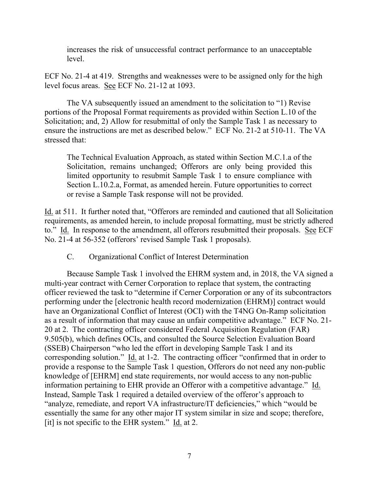increases the risk of unsuccessful contract performance to an unacceptable level.

ECF No. 21-4 at 419. Strengths and weaknesses were to be assigned only for the high level focus areas. See ECF No. 21-12 at 1093.

The VA subsequently issued an amendment to the solicitation to "1) Revise portions of the Proposal Format requirements as provided within Section L.10 of the Solicitation; and, 2) Allow for resubmittal of only the Sample Task 1 as necessary to ensure the instructions are met as described below." ECF No. 21-2 at 510-11. The VA stressed that:

The Technical Evaluation Approach, as stated within Section M.C.1.a of the Solicitation, remains unchanged; Offerors are only being provided this limited opportunity to resubmit Sample Task 1 to ensure compliance with Section L.10.2.a, Format, as amended herein. Future opportunities to correct or revise a Sample Task response will not be provided.

Id. at 511. It further noted that, "Offerors are reminded and cautioned that all Solicitation requirements, as amended herein, to include proposal formatting, must be strictly adhered to." Id. In response to the amendment, all offerors resubmitted their proposals. See ECF No. 21-4 at 56-352 (offerors' revised Sample Task 1 proposals).

C. Organizational Conflict of Interest Determination

Because Sample Task 1 involved the EHRM system and, in 2018, the VA signed a multi-year contract with Cerner Corporation to replace that system, the contracting officer reviewed the task to "determine if Cerner Corporation or any of its subcontractors performing under the [electronic health record modernization (EHRM)] contract would have an Organizational Conflict of Interest (OCI) with the T4NG On-Ramp solicitation as a result of information that may cause an unfair competitive advantage." ECF No. 21- 20 at 2. The contracting officer considered Federal Acquisition Regulation (FAR) 9.505(b), which defines OCIs, and consulted the Source Selection Evaluation Board (SSEB) Chairperson "who led the effort in developing Sample Task 1 and its corresponding solution." Id. at 1-2. The contracting officer "confirmed that in order to provide a response to the Sample Task 1 question, Offerors do not need any non-public knowledge of [EHRM] end state requirements, nor would access to any non-public information pertaining to EHR provide an Offeror with a competitive advantage." Id. Instead, Sample Task 1 required a detailed overview of the offeror's approach to "analyze, remediate, and report VA infrastructure/IT deficiencies," which "would be essentially the same for any other major IT system similar in size and scope; therefore, [it] is not specific to the EHR system."  $\underline{Id}$  at 2.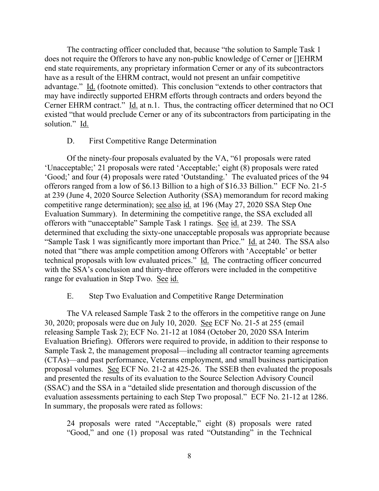The contracting officer concluded that, because "the solution to Sample Task 1 does not require the Offerors to have any non-public knowledge of Cerner or []EHRM end state requirements, any proprietary information Cerner or any of its subcontractors have as a result of the EHRM contract, would not present an unfair competitive advantage." Id. (footnote omitted). This conclusion "extends to other contractors that may have indirectly supported EHRM efforts through contracts and orders beyond the Cerner EHRM contract." Id. at n.1. Thus, the contracting officer determined that no OCI existed "that would preclude Cerner or any of its subcontractors from participating in the solution." Id.

## D. First Competitive Range Determination

Of the ninety-four proposals evaluated by the VA, "61 proposals were rated 'Unacceptable;' 21 proposals were rated 'Acceptable;' eight (8) proposals were rated 'Good;' and four (4) proposals were rated 'Outstanding.' The evaluated prices of the 94 offerors ranged from a low of \$6.13 Billion to a high of \$16.33 Billion." ECF No. 21-5 at 239 (June 4, 2020 Source Selection Authority (SSA) memorandum for record making competitive range determination); see also id. at 196 (May 27, 2020 SSA Step One Evaluation Summary). In determining the competitive range, the SSA excluded all offerors with "unacceptable" Sample Task 1 ratings. See id. at 239. The SSA determined that excluding the sixty-one unacceptable proposals was appropriate because "Sample Task 1 was significantly more important than Price." Id. at 240. The SSA also noted that "there was ample competition among Offerors with 'Acceptable' or better technical proposals with low evaluated prices." Id. The contracting officer concurred with the SSA's conclusion and thirty-three offerors were included in the competitive range for evaluation in Step Two. See id.

## E. Step Two Evaluation and Competitive Range Determination

The VA released Sample Task 2 to the offerors in the competitive range on June 30, 2020; proposals were due on July 10, 2020. See ECF No. 21-5 at 255 (email releasing Sample Task 2); ECF No. 21-12 at 1084 (October 20, 2020 SSA Interim Evaluation Briefing). Offerors were required to provide, in addition to their response to Sample Task 2, the management proposal—including all contractor teaming agreements (CTAs)—and past performance, Veterans employment, and small business participation proposal volumes. See ECF No. 21-2 at 425-26. The SSEB then evaluated the proposals and presented the results of its evaluation to the Source Selection Advisory Council (SSAC) and the SSA in a "detailed slide presentation and thorough discussion of the evaluation assessments pertaining to each Step Two proposal." ECF No. 21-12 at 1286. In summary, the proposals were rated as follows:

24 proposals were rated "Acceptable," eight (8) proposals were rated "Good," and one (1) proposal was rated "Outstanding" in the Technical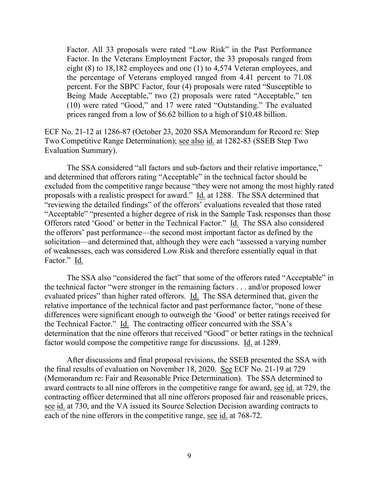Factor. All 33 proposals were rated "Low Risk" in the Past Performance Factor. In the Veterans Employment Factor, the 33 proposals ranged from eight (8) to 18,182 employees and one (1) to 4,574 Veteran employees, and the percentage of Veterans employed ranged from 4.41 percent to 71.08 percent. For the SBPC Factor, four (4) proposals were rated "Susceptible to Being Made Acceptable," two (2) proposals were rated "Acceptable," ten (10) were rated "Good," and 17 were rated "Outstanding." The evaluated prices ranged from a low of \$6.62 billion to a high of \$10.48 billion.

ECF No. 21-12 at 1286-87 (October 23, 2020 SSA Memorandum for Record re: Step Two Competitive Range Determination); see also id. at 1282-83 (SSEB Step Two Evaluation Summary).

The SSA considered "all factors and sub-factors and their relative importance," and determined that offerors rating "Acceptable" in the technical factor should be excluded from the competitive range because "they were not among the most highly rated proposals with a realistic prospect for award." Id. at 1288. The SSA determined that "reviewing the detailed findings" of the offerors' evaluations revealed that those rated "Acceptable" "presented a higher degree of risk in the Sample Task responses than those Offerors rated 'Good' or better in the Technical Factor." Id. The SSA also considered the offerors' past performance—the second most important factor as defined by the solicitation—and determined that, although they were each "assessed a varying number of weaknesses, each was considered Low Risk and therefore essentially equal in that Factor." Id.

The SSA also "considered the fact" that some of the offerors rated "Acceptable" in the technical factor "were stronger in the remaining factors . . . and/or proposed lower evaluated prices" than higher rated offerors. Id. The SSA determined that, given the relative importance of the technical factor and past performance factor, "none of these differences were significant enough to outweigh the 'Good' or better ratings received for the Technical Factor." Id. The contracting officer concurred with the SSA's determination that the nine offerors that received "Good" or better ratings in the technical factor would compose the competitive range for discussions. Id. at 1289.

After discussions and final proposal revisions, the SSEB presented the SSA with the final results of evaluation on November 18, 2020. See ECF No. 21-19 at 729 (Memorandum re: Fair and Reasonable Price Determination). The SSA determined to award contracts to all nine offerors in the competitive range for award, see id. at 729, the contracting officer determined that all nine offerors proposed fair and reasonable prices, see id. at 730, and the VA issued its Source Selection Decision awarding contracts to each of the nine offerors in the competitive range, see id. at 768-72.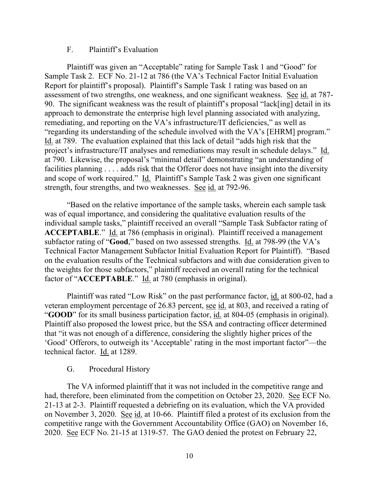## F. Plaintiff's Evaluation

Plaintiff was given an "Acceptable" rating for Sample Task 1 and "Good" for Sample Task 2. ECF No. 21-12 at 786 (the VA's Technical Factor Initial Evaluation Report for plaintiff's proposal). Plaintiff's Sample Task 1 rating was based on an assessment of two strengths, one weakness, and one significant weakness. See id. at 787- 90. The significant weakness was the result of plaintiff's proposal "lack[ing] detail in its approach to demonstrate the enterprise high level planning associated with analyzing, remediating, and reporting on the VA's infrastructure/IT deficiencies," as well as "regarding its understanding of the schedule involved with the VA's [EHRM] program." Id. at 789. The evaluation explained that this lack of detail "adds high risk that the project's infrastructure/IT analyses and remediations may result in schedule delays." Id. at 790. Likewise, the proposal's "minimal detail" demonstrating "an understanding of facilities planning . . . . adds risk that the Offeror does not have insight into the diversity and scope of work required." Id. Plaintiff's Sample Task 2 was given one significant strength, four strengths, and two weaknesses. See id. at 792-96.

"Based on the relative importance of the sample tasks, wherein each sample task was of equal importance, and considering the qualitative evaluation results of the individual sample tasks," plaintiff received an overall "Sample Task Subfactor rating of **ACCEPTABLE**." Id. at 786 (emphasis in original). Plaintiff received a management subfactor rating of "**Good**," based on two assessed strengths. Id. at 798-99 (the VA's Technical Factor Management Subfactor Initial Evaluation Report for Plaintiff). "Based on the evaluation results of the Technical subfactors and with due consideration given to the weights for those subfactors," plaintiff received an overall rating for the technical factor of "**ACCEPTABLE**." Id. at 780 (emphasis in original).

Plaintiff was rated "Low Risk" on the past performance factor, id. at 800-02, had a veteran employment percentage of 26.83 percent, see id. at 803, and received a rating of "**GOOD**" for its small business participation factor, id. at 804-05 (emphasis in original). Plaintiff also proposed the lowest price, but the SSA and contracting officer determined that "it was not enough of a difference, considering the slightly higher prices of the 'Good' Offerors, to outweigh its 'Acceptable' rating in the most important factor"—the technical factor. Id. at 1289.

## G. Procedural History

The VA informed plaintiff that it was not included in the competitive range and had, therefore, been eliminated from the competition on October 23, 2020. See ECF No. 21-13 at 2-3. Plaintiff requested a debriefing on its evaluation, which the VA provided on November 3, 2020. See id. at 10-66. Plaintiff filed a protest of its exclusion from the competitive range with the Government Accountability Office (GAO) on November 16, 2020. See ECF No. 21-15 at 1319-57. The GAO denied the protest on February 22,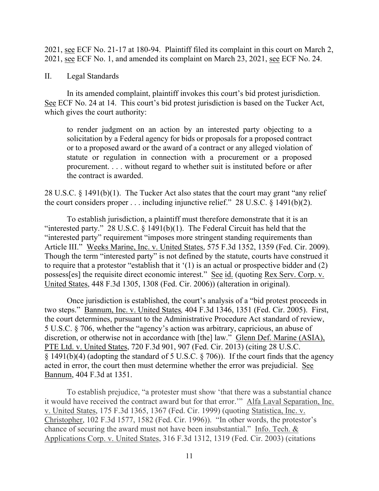2021, see ECF No. 21-17 at 180-94. Plaintiff filed its complaint in this court on March 2, 2021, see ECF No. 1, and amended its complaint on March 23, 2021, see ECF No. 24.

## II. Legal Standards

In its amended complaint, plaintiff invokes this court's bid protest jurisdiction. See ECF No. 24 at 14. This court's bid protest jurisdiction is based on the Tucker Act, which gives the court authority:

to render judgment on an action by an interested party objecting to a solicitation by a Federal agency for bids or proposals for a proposed contract or to a proposed award or the award of a contract or any alleged violation of statute or regulation in connection with a procurement or a proposed procurement. . . . without regard to whether suit is instituted before or after the contract is awarded.

28 U.S.C. § 1491(b)(1). The Tucker Act also states that the court may grant "any relief the court considers proper . . . including injunctive relief." 28 U.S.C. § 1491(b)(2).

To establish jurisdiction, a plaintiff must therefore demonstrate that it is an "interested party." 28 U.S.C.  $\S$  1491(b)(1). The Federal Circuit has held that the "interested party" requirement "imposes more stringent standing requirements than Article III." Weeks Marine, Inc. v. United States, 575 F.3d 1352, 1359 (Fed. Cir. 2009). Though the term "interested party" is not defined by the statute, courts have construed it to require that a protestor "establish that it '(1) is an actual or prospective bidder and (2) possess[es] the requisite direct economic interest." See id. (quoting Rex Serv. Corp. v. United States, 448 F.3d 1305, 1308 (Fed. Cir. 2006)) (alteration in original).

Once jurisdiction is established, the court's analysis of a "bid protest proceeds in two steps." Bannum, Inc. v. United States*,* 404 F.3d 1346, 1351 (Fed. Cir. 2005). First, the court determines, pursuant to the Administrative Procedure Act standard of review, 5 U.S.C. § 706, whether the "agency's action was arbitrary, capricious, an abuse of discretion, or otherwise not in accordance with [the] law." Glenn Def. Marine (ASIA), PTE Ltd. v. United States, 720 F.3d 901, 907 (Fed. Cir. 2013) (citing 28 U.S.C. § 1491(b)(4) (adopting the standard of 5 U.S.C. § 706)). If the court finds that the agency acted in error, the court then must determine whether the error was prejudicial. See Bannum, 404 F.3d at 1351.

To establish prejudice, "a protester must show 'that there was a substantial chance it would have received the contract award but for that error.'" Alfa Laval Separation, Inc. v. United States, 175 F.3d 1365, 1367 (Fed. Cir. 1999) (quoting Statistica, Inc. v. Christopher, 102 F.3d 1577, 1582 (Fed. Cir. 1996)). "In other words, the protestor's chance of securing the award must not have been insubstantial." Info. Tech. & Applications Corp. v. United States, 316 F.3d 1312, 1319 (Fed. Cir. 2003) (citations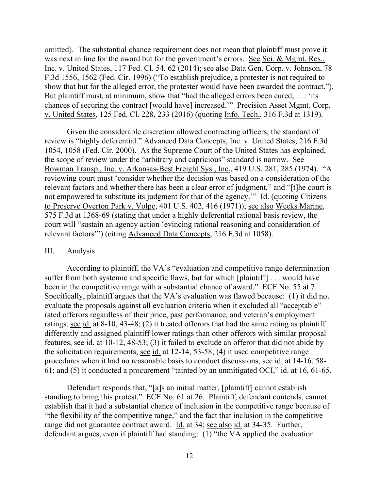omitted). The substantial chance requirement does not mean that plaintiff must prove it was next in line for the award but for the government's errors. See Sci. & Mgmt. Res., Inc. v. United States, 117 Fed. Cl. 54, 62 (2014); see also Data Gen. Corp. v. Johnson, 78 F.3d 1556, 1562 (Fed. Cir. 1996) ("To establish prejudice, a protester is not required to show that but for the alleged error, the protester would have been awarded the contract."). But plaintiff must, at minimum, show that "had the alleged errors been cured, . . . 'its chances of securing the contract [would have] increased.'" Precision Asset Mgmt. Corp. v. United States, 125 Fed. Cl. 228, 233 (2016) (quoting Info. Tech., 316 F.3d at 1319).

Given the considerable discretion allowed contracting officers, the standard of review is "highly deferential." Advanced Data Concepts, Inc. v. United States, 216 F.3d 1054, 1058 (Fed. Cir. 2000). As the Supreme Court of the United States has explained, the scope of review under the "arbitrary and capricious" standard is narrow. See Bowman Transp., Inc. v. Arkansas-Best Freight Sys., Inc., 419 U.S. 281, 285 (1974). "A reviewing court must 'consider whether the decision was based on a consideration of the relevant factors and whether there has been a clear error of judgment," and "[t]he court is not empowered to substitute its judgment for that of the agency.'" Id. (quoting Citizens to Preserve Overton Park v. Volpe, 401 U.S. 402, 416 (1971)); see also Weeks Marine, 575 F.3d at 1368-69 (stating that under a highly deferential rational basis review, the court will "sustain an agency action 'evincing rational reasoning and consideration of relevant factors'") (citing Advanced Data Concepts, 216 F.3d at 1058).

#### III. Analysis

According to plaintiff, the VA's "evaluation and competitive range determination suffer from both systemic and specific flaws, but for which [plaintiff] . . . would have been in the competitive range with a substantial chance of award." ECF No. 55 at 7. Specifically, plaintiff argues that the VA's evaluation was flawed because: (1) it did not evaluate the proposals against all evaluation criteria when it excluded all "acceptable" rated offerors regardless of their price, past performance, and veteran's employment ratings, see id. at 8-10, 43-48; (2) it treated offerors that had the same rating as plaintiff differently and assigned plaintiff lower ratings than other offerors with similar proposal features, see id. at 10-12, 48-53; (3) it failed to exclude an offeror that did not abide by the solicitation requirements, see id. at 12-14, 53-58; (4) it used competitive range procedures when it had no reasonable basis to conduct discussions, see id. at 14-16, 58- 61; and (5) it conducted a procurement "tainted by an unmitigated OCI," id. at 16, 61-65.

Defendant responds that, "[a]s an initial matter, [plaintiff] cannot establish standing to bring this protest." ECF No. 61 at 26. Plaintiff, defendant contends, cannot establish that it had a substantial chance of inclusion in the competitive range because of "the flexibility of the competitive range," and the fact that inclusion in the competitive range did not guarantee contract award. Id. at 34; see also id. at 34-35. Further, defendant argues, even if plaintiff had standing: (1) "the VA applied the evaluation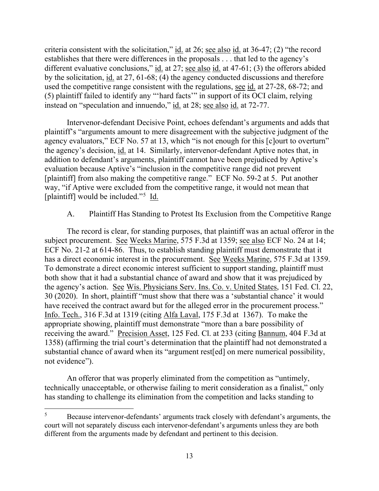criteria consistent with the solicitation," id. at 26; see also id. at 36-47; (2) "the record establishes that there were differences in the proposals . . . that led to the agency's different evaluative conclusions," id. at 27; see also id. at 47-61; (3) the offerors abided by the solicitation, id. at 27, 61-68; (4) the agency conducted discussions and therefore used the competitive range consistent with the regulations, see id. at 27-28, 68-72; and (5) plaintiff failed to identify any "'hard facts'" in support of its OCI claim, relying instead on "speculation and innuendo," id. at 28; see also id. at 72-77.

Intervenor-defendant Decisive Point, echoes defendant's arguments and adds that plaintiff's "arguments amount to mere disagreement with the subjective judgment of the agency evaluators," ECF No. 57 at 13, which "is not enough for this [c]ourt to overturn" the agency's decision, id. at 14. Similarly, intervenor-defendant Aptive notes that, in addition to defendant's arguments, plaintiff cannot have been prejudiced by Aptive's evaluation because Aptive's "inclusion in the competitive range did not prevent [plaintiff] from also making the competitive range." ECF No. 59-2 at 5. Put another way, "if Aptive were excluded from the competitive range, it would not mean that [plaintiff] would be included."<sup>5</sup> Id.

# A. Plaintiff Has Standing to Protest Its Exclusion from the Competitive Range

The record is clear, for standing purposes, that plaintiff was an actual offeror in the subject procurement. See Weeks Marine, 575 F.3d at 1359; see also ECF No. 24 at 14; ECF No. 21-2 at 614-86. Thus, to establish standing plaintiff must demonstrate that it has a direct economic interest in the procurement. See Weeks Marine, 575 F.3d at 1359. To demonstrate a direct economic interest sufficient to support standing, plaintiff must both show that it had a substantial chance of award and show that it was prejudiced by the agency's action. See Wis. Physicians Serv. Ins. Co. v. United States, 151 Fed. Cl. 22, 30 (2020). In short, plaintiff "must show that there was a 'substantial chance' it would have received the contract award but for the alleged error in the procurement process." Info. Tech., 316 F.3d at 1319 (citing Alfa Laval, 175 F.3d at 1367). To make the appropriate showing, plaintiff must demonstrate "more than a bare possibility of receiving the award." Precision Asset, 125 Fed. Cl. at 233 (citing Bannum, 404 F.3d at 1358) (affirming the trial court's determination that the plaintiff had not demonstrated a substantial chance of award when its "argument rest[ed] on mere numerical possibility, not evidence").

An offeror that was properly eliminated from the competition as "untimely, technically unacceptable, or otherwise failing to merit consideration as a finalist," only has standing to challenge its elimination from the competition and lacks standing to

<sup>&</sup>lt;sup>5</sup> Because intervenor-defendants' arguments track closely with defendant's arguments, the court will not separately discuss each intervenor-defendant's arguments unless they are both different from the arguments made by defendant and pertinent to this decision.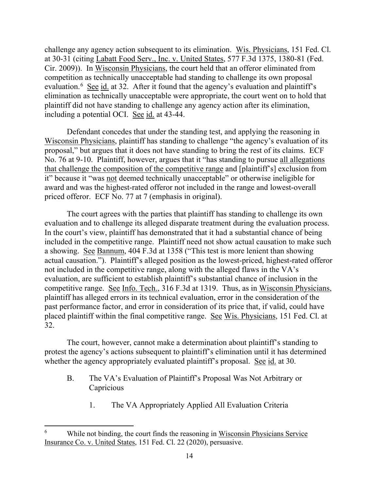challenge any agency action subsequent to its elimination. Wis. Physicians, 151 Fed. Cl. at 30-31 (citing Labatt Food Serv., Inc. v. United States, 577 F.3d 1375, 1380-81 (Fed. Cir. 2009)). In Wisconsin Physicians, the court held that an offeror eliminated from competition as technically unacceptable had standing to challenge its own proposal evaluation.<sup>6</sup> See id. at 32. After it found that the agency's evaluation and plaintiff's elimination as technically unacceptable were appropriate, the court went on to hold that plaintiff did not have standing to challenge any agency action after its elimination, including a potential OCI. See id. at 43-44.

Defendant concedes that under the standing test, and applying the reasoning in Wisconsin Physicians, plaintiff has standing to challenge "the agency's evaluation of its proposal," but argues that it does not have standing to bring the rest of its claims. ECF No. 76 at 9-10. Plaintiff, however, argues that it "has standing to pursue all allegations that challenge the composition of the competitive range and [plaintiff's] exclusion from it" because it "was not deemed technically unacceptable" or otherwise ineligible for award and was the highest-rated offeror not included in the range and lowest-overall priced offeror. ECF No. 77 at 7 (emphasis in original).

The court agrees with the parties that plaintiff has standing to challenge its own evaluation and to challenge its alleged disparate treatment during the evaluation process. In the court's view, plaintiff has demonstrated that it had a substantial chance of being included in the competitive range. Plaintiff need not show actual causation to make such a showing. See Bannum, 404 F.3d at 1358 ("This test is more lenient than showing actual causation."). Plaintiff's alleged position as the lowest-priced, highest-rated offeror not included in the competitive range, along with the alleged flaws in the VA's evaluation, are sufficient to establish plaintiff's substantial chance of inclusion in the competitive range. See Info. Tech., 316 F.3d at 1319. Thus, as in Wisconsin Physicians, plaintiff has alleged errors in its technical evaluation, error in the consideration of the past performance factor, and error in consideration of its price that, if valid, could have placed plaintiff within the final competitive range. See Wis. Physicians, 151 Fed. Cl. at 32.

The court, however, cannot make a determination about plaintiff's standing to protest the agency's actions subsequent to plaintiff's elimination until it has determined whether the agency appropriately evaluated plaintiff's proposal. See id. at 30.

- B. The VA's Evaluation of Plaintiff's Proposal Was Not Arbitrary or **Capricious** 
	- 1. The VA Appropriately Applied All Evaluation Criteria

While not binding, the court finds the reasoning in Wisconsin Physicians Service Insurance Co. v. United States, 151 Fed. Cl. 22 (2020), persuasive.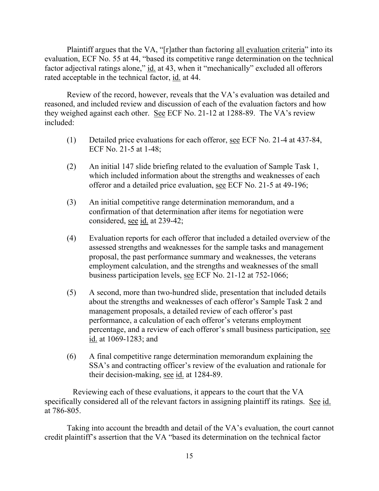Plaintiff argues that the VA, "[r]ather than factoring all evaluation criteria" into its evaluation, ECF No. 55 at 44, "based its competitive range determination on the technical factor adjectival ratings alone," id. at 43, when it "mechanically" excluded all offerors rated acceptable in the technical factor, id. at 44.

Review of the record, however, reveals that the VA's evaluation was detailed and reasoned, and included review and discussion of each of the evaluation factors and how they weighed against each other. See ECF No. 21-12 at 1288-89. The VA's review included:

- (1) Detailed price evaluations for each offeror, see ECF No. 21-4 at 437-84, ECF No. 21-5 at 1-48;
- (2) An initial 147 slide briefing related to the evaluation of Sample Task 1, which included information about the strengths and weaknesses of each offeror and a detailed price evaluation, see ECF No. 21-5 at 49-196;
- (3) An initial competitive range determination memorandum, and a confirmation of that determination after items for negotiation were considered, <u>see id.</u> at 239-42;
- (4) Evaluation reports for each offeror that included a detailed overview of the assessed strengths and weaknesses for the sample tasks and management proposal, the past performance summary and weaknesses, the veterans employment calculation, and the strengths and weaknesses of the small business participation levels, see ECF No. 21-12 at 752-1066;
- (5) A second, more than two-hundred slide, presentation that included details about the strengths and weaknesses of each offeror's Sample Task 2 and management proposals, a detailed review of each offeror's past performance, a calculation of each offeror's veterans employment percentage, and a review of each offeror's small business participation, see id. at 1069-1283; and
- (6) A final competitive range determination memorandum explaining the SSA's and contracting officer's review of the evaluation and rationale for their decision-making, see id. at 1284-89.

 Reviewing each of these evaluations, it appears to the court that the VA specifically considered all of the relevant factors in assigning plaintiff its ratings. See id. at 786-805.

Taking into account the breadth and detail of the VA's evaluation, the court cannot credit plaintiff's assertion that the VA "based its determination on the technical factor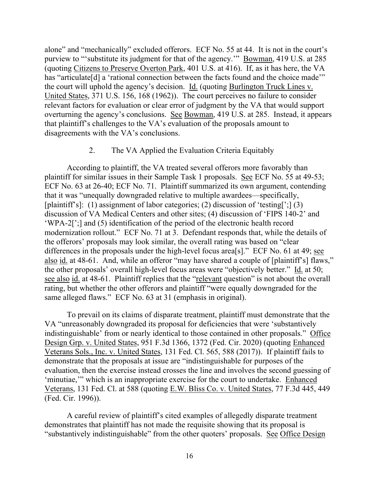alone" and "mechanically" excluded offerors. ECF No. 55 at 44. It is not in the court's purview to "'substitute its judgment for that of the agency.'" Bowman, 419 U.S. at 285 (quoting Citizens to Preserve Overton Park, 401 U.S. at 416). If, as it has here, the VA has "articulate<sup>[d]</sup> a 'rational connection between the facts found and the choice made'" the court will uphold the agency's decision. Id. (quoting Burlington Truck Lines v. United States, 371 U.S. 156, 168 (1962)). The court perceives no failure to consider relevant factors for evaluation or clear error of judgment by the VA that would support overturning the agency's conclusions. See Bowman, 419 U.S. at 285. Instead, it appears that plaintiff's challenges to the VA's evaluation of the proposals amount to disagreements with the VA's conclusions.

## 2. The VA Applied the Evaluation Criteria Equitably

According to plaintiff, the VA treated several offerors more favorably than plaintiff for similar issues in their Sample Task 1 proposals. See ECF No. 55 at 49-53; ECF No. 63 at 26-40; ECF No. 71. Plaintiff summarized its own argument, contending that it was "unequally downgraded relative to multiple awardees—specifically, [plaintiff's]: (1) assignment of labor categories; (2) discussion of 'testing[';] (3) discussion of VA Medical Centers and other sites; (4) discussion of 'FIPS 140-2' and 'WPA-2[';] and (5) identification of the period of the electronic health record modernization rollout." ECF No. 71 at 3. Defendant responds that, while the details of the offerors' proposals may look similar, the overall rating was based on "clear differences in the proposals under the high-level focus area<sup>[s]</sup>." ECF No. 61 at 49; <u>see</u> also id. at 48-61. And, while an offeror "may have shared a couple of [plaintiff's] flaws," the other proposals' overall high-level focus areas were "objectively better." Id. at 50; see also id. at 48-61. Plaintiff replies that the "relevant question" is not about the overall rating, but whether the other offerors and plaintiff "were equally downgraded for the same alleged flaws." ECF No. 63 at 31 (emphasis in original).

To prevail on its claims of disparate treatment, plaintiff must demonstrate that the VA "unreasonably downgraded its proposal for deficiencies that were 'substantively indistinguishable' from or nearly identical to those contained in other proposals." Office Design Grp. v. United States, 951 F.3d 1366, 1372 (Fed. Cir. 2020) (quoting Enhanced Veterans Sols., Inc. v. United States, 131 Fed. Cl. 565, 588 (2017)). If plaintiff fails to demonstrate that the proposals at issue are "indistinguishable for purposes of the evaluation, then the exercise instead crosses the line and involves the second guessing of 'minutiae,'" which is an inappropriate exercise for the court to undertake. Enhanced Veterans, 131 Fed. Cl. at 588 (quoting E.W. Bliss Co. v. United States, 77 F.3d 445, 449 (Fed. Cir. 1996)).

A careful review of plaintiff's cited examples of allegedly disparate treatment demonstrates that plaintiff has not made the requisite showing that its proposal is "substantively indistinguishable" from the other quoters' proposals. See Office Design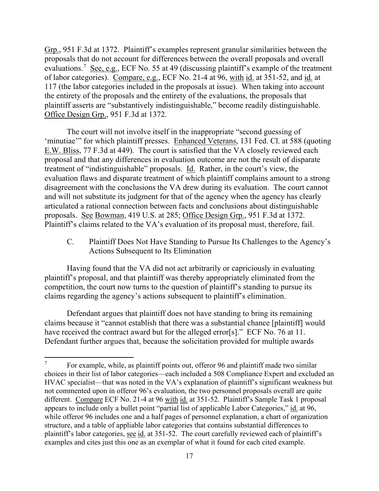Grp., 951 F.3d at 1372. Plaintiff's examples represent granular similarities between the proposals that do not account for differences between the overall proposals and overall evaluations.<sup>7</sup> See, e.g., ECF No. 55 at 49 (discussing plaintiff's example of the treatment of labor categories). Compare, e.g., ECF No. 21-4 at 96, with id. at 351-52, and id. at 117 (the labor categories included in the proposals at issue). When taking into account the entirety of the proposals and the entirety of the evaluations, the proposals that plaintiff asserts are "substantively indistinguishable," become readily distinguishable. Office Design Grp., 951 F.3d at 1372.

The court will not involve itself in the inappropriate "second guessing of 'minutiae'" for which plaintiff presses. Enhanced Veterans, 131 Fed. Cl. at 588 (quoting E.W. Bliss, 77 F.3d at 449). The court is satisfied that the VA closely reviewed each proposal and that any differences in evaluation outcome are not the result of disparate treatment of "indistinguishable" proposals. Id. Rather, in the court's view, the evaluation flaws and disparate treatment of which plaintiff complains amount to a strong disagreement with the conclusions the VA drew during its evaluation. The court cannot and will not substitute its judgment for that of the agency when the agency has clearly articulated a rational connection between facts and conclusions about distinguishable proposals. See Bowman, 419 U.S. at 285; Office Design Grp., 951 F.3d at 1372. Plaintiff's claims related to the VA's evaluation of its proposal must, therefore, fail.

C. Plaintiff Does Not Have Standing to Pursue Its Challenges to the Agency's Actions Subsequent to Its Elimination

Having found that the VA did not act arbitrarily or capriciously in evaluating plaintiff's proposal, and that plaintiff was thereby appropriately eliminated from the competition, the court now turns to the question of plaintiff's standing to pursue its claims regarding the agency's actions subsequent to plaintiff's elimination.

Defendant argues that plaintiff does not have standing to bring its remaining claims because it "cannot establish that there was a substantial chance [plaintiff] would have received the contract award but for the alleged error[s]." ECF No. 76 at 11. Defendant further argues that, because the solicitation provided for multiple awards

For example, while, as plaintiff points out, offeror 96 and plaintiff made two similar choices in their list of labor categories—each included a 508 Compliance Expert and excluded an HVAC specialist—that was noted in the VA's explanation of plaintiff's significant weakness but not commented upon in offeror 96's evaluation, the two personnel proposals overall are quite different. Compare ECF No. 21-4 at 96 with id. at 351-52. Plaintiff's Sample Task 1 proposal appears to include only a bullet point "partial list of applicable Labor Categories," id. at 96, while offeror 96 includes one and a half pages of personnel explanation, a chart of organization structure, and a table of appliable labor categories that contains substantial differences to plaintiff's labor categories, see id. at 351-52. The court carefully reviewed each of plaintiff's examples and cites just this one as an exemplar of what it found for each cited example.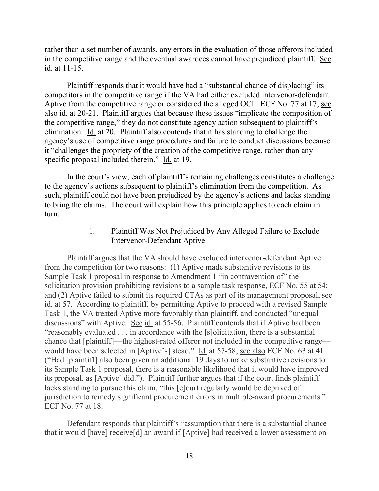rather than a set number of awards, any errors in the evaluation of those offerors included in the competitive range and the eventual awardees cannot have prejudiced plaintiff. See id. at 11-15.

Plaintiff responds that it would have had a "substantial chance of displacing" its competitors in the competitive range if the VA had either excluded intervenor-defendant Aptive from the competitive range or considered the alleged OCI. ECF No. 77 at 17; see also id. at 20-21. Plaintiff argues that because these issues "implicate the composition of the competitive range," they do not constitute agency action subsequent to plaintiff's elimination. Id. at 20. Plaintiff also contends that it has standing to challenge the agency's use of competitive range procedures and failure to conduct discussions because it "challenges the propriety of the creation of the competitive range, rather than any specific proposal included therein." Id. at 19.

In the court's view, each of plaintiff's remaining challenges constitutes a challenge to the agency's actions subsequent to plaintiff's elimination from the competition. As such, plaintiff could not have been prejudiced by the agency's actions and lacks standing to bring the claims. The court will explain how this principle applies to each claim in turn.

## 1. Plaintiff Was Not Prejudiced by Any Alleged Failure to Exclude Intervenor-Defendant Aptive

Plaintiff argues that the VA should have excluded intervenor-defendant Aptive from the competition for two reasons: (1) Aptive made substantive revisions to its Sample Task 1 proposal in response to Amendment 1 "in contravention of" the solicitation provision prohibiting revisions to a sample task response, ECF No. 55 at 54; and (2) Aptive failed to submit its required CTAs as part of its management proposal, see id. at 57. According to plaintiff, by permitting Aptive to proceed with a revised Sample Task 1, the VA treated Aptive more favorably than plaintiff, and conducted "unequal discussions" with Aptive. See id. at 55-56. Plaintiff contends that if Aptive had been "reasonably evaluated . . . in accordance with the [s]olicitation, there is a substantial chance that [plaintiff]—the highest-rated offeror not included in the competitive range would have been selected in [Aptive's] stead." Id. at 57-58; see also ECF No. 63 at 41 ("Had [plaintiff] also been given an additional 19 days to make substantive revisions to its Sample Task 1 proposal, there is a reasonable likelihood that it would have improved its proposal, as [Aptive] did."). Plaintiff further argues that if the court finds plaintiff lacks standing to pursue this claim, "this [c]ourt regularly would be deprived of jurisdiction to remedy significant procurement errors in multiple-award procurements." ECF No. 77 at 18.

Defendant responds that plaintiff's "assumption that there is a substantial chance that it would [have] receive[d] an award if [Aptive] had received a lower assessment on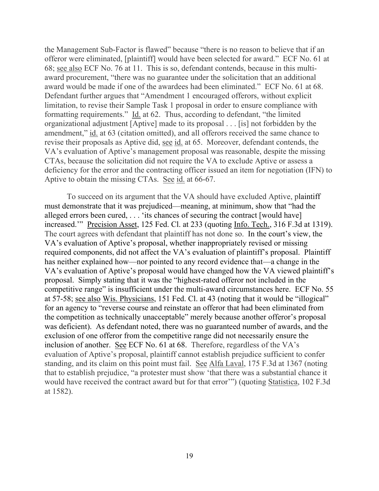the Management Sub-Factor is flawed" because "there is no reason to believe that if an offeror were eliminated, [plaintiff] would have been selected for award." ECF No. 61 at 68; see also ECF No. 76 at 11. This is so, defendant contends, because in this multiaward procurement, "there was no guarantee under the solicitation that an additional award would be made if one of the awardees had been eliminated." ECF No. 61 at 68. Defendant further argues that "Amendment 1 encouraged offerors, without explicit limitation, to revise their Sample Task 1 proposal in order to ensure compliance with formatting requirements." Id. at 62. Thus, according to defendant, "the limited organizational adjustment [Aptive] made to its proposal . . . [is] not forbidden by the amendment," id. at 63 (citation omitted), and all offerors received the same chance to revise their proposals as Aptive did, see id. at 65. Moreover, defendant contends, the VA's evaluation of Aptive's management proposal was reasonable, despite the missing CTAs, because the solicitation did not require the VA to exclude Aptive or assess a deficiency for the error and the contracting officer issued an item for negotiation (IFN) to Aptive to obtain the missing CTAs. See id. at 66-67.

To succeed on its argument that the VA should have excluded Aptive, plaintiff must demonstrate that it was prejudiced—meaning, at minimum, show that "had the alleged errors been cured, . . . 'its chances of securing the contract [would have] increased.'" Precision Asset, 125 Fed. Cl. at 233 (quoting Info. Tech., 316 F.3d at 1319). The court agrees with defendant that plaintiff has not done so. In the court's view, the VA's evaluation of Aptive's proposal, whether inappropriately revised or missing required components, did not affect the VA's evaluation of plaintiff's proposal. Plaintiff has neither explained how—nor pointed to any record evidence that—a change in the VA's evaluation of Aptive's proposal would have changed how the VA viewed plaintiff's proposal. Simply stating that it was the "highest-rated offeror not included in the competitive range" is insufficient under the multi-award circumstances here. ECF No. 55 at 57-58; see also Wis. Physicians, 151 Fed. Cl. at 43 (noting that it would be "illogical" for an agency to "reverse course and reinstate an offeror that had been eliminated from the competition as technically unacceptable" merely because another offeror's proposal was deficient). As defendant noted, there was no guaranteed number of awards, and the exclusion of one offeror from the competitive range did not necessarily ensure the inclusion of another. See ECF No. 61 at 68. Therefore, regardless of the VA's evaluation of Aptive's proposal, plaintiff cannot establish prejudice sufficient to confer standing, and its claim on this point must fail. See Alfa Laval, 175 F.3d at 1367 (noting that to establish prejudice, "a protester must show 'that there was a substantial chance it would have received the contract award but for that error'") (quoting Statistica, 102 F.3d at 1582).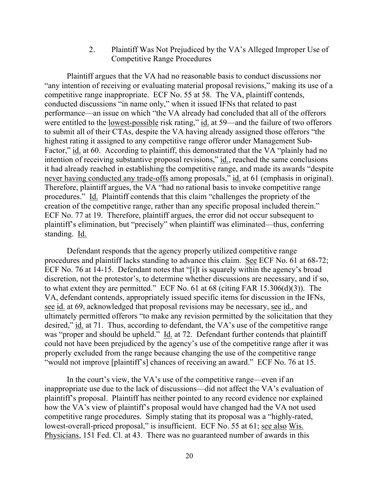2. Plaintiff Was Not Prejudiced by the VA's Alleged Improper Use of Competitive Range Procedures

Plaintiff argues that the VA had no reasonable basis to conduct discussions nor "any intention of receiving or evaluating material proposal revisions," making its use of a competitive range inappropriate. ECF No. 55 at 58. The VA, plaintiff contends, conducted discussions "in name only," when it issued IFNs that related to past performance—an issue on which "the VA already had concluded that all of the offerors were entitled to the lowest-possible risk rating," id. at 59—and the failure of two offerors to submit all of their CTAs, despite the VA having already assigned those offerors "the highest rating it assigned to any competitive range offeror under Management Sub-Factor," id. at 60. According to plaintiff, this demonstrated that the VA "plainly had no intention of receiving substantive proposal revisions," id., reached the same conclusions it had already reached in establishing the competitive range, and made its awards "despite never having conducted any trade-offs among proposals," id. at 61 (emphasis in original). Therefore, plaintiff argues, the VA "had no rational basis to invoke competitive range procedures." Id. Plaintiff contends that this claim "challenges the propriety of the creation of the competitive range, rather than any specific proposal included therein." ECF No. 77 at 19. Therefore, plaintiff argues, the error did not occur subsequent to plaintiff's elimination, but "precisely" when plaintiff was eliminated—thus, conferring standing. Id.

Defendant responds that the agency properly utilized competitive range procedures and plaintiff lacks standing to advance this claim. See ECF No. 61 at 68-72; ECF No. 76 at 14-15. Defendant notes that "[i]t is squarely within the agency's broad discretion, not the protestor's, to determine whether discussions are necessary, and if so, to what extent they are permitted." ECF No. 61 at 68 (citing FAR 15.306(d)(3)). The VA, defendant contends, appropriately issued specific items for discussion in the IFNs, see id. at 69, acknowledged that proposal revisions may be necessary, see id., and ultimately permitted offerors "to make any revision permitted by the solicitation that they desired," id. at 71. Thus, according to defendant, the VA's use of the competitive range was "proper and should be upheld." Id. at 72. Defendant further contends that plaintiff could not have been prejudiced by the agency's use of the competitive range after it was properly excluded from the range because changing the use of the competitive range "would not improve [plaintiff's] chances of receiving an award." ECF No. 76 at 15.

In the court's view, the VA's use of the competitive range—even if an inappropriate use due to the lack of discussions—did not affect the VA's evaluation of plaintiff's proposal. Plaintiff has neither pointed to any record evidence nor explained how the VA's view of plaintiff's proposal would have changed had the VA not used competitive range procedures. Simply stating that its proposal was a "highly-rated, lowest-overall-priced proposal," is insufficient. ECF No. 55 at 61; see also Wis. Physicians, 151 Fed. Cl. at 43. There was no guaranteed number of awards in this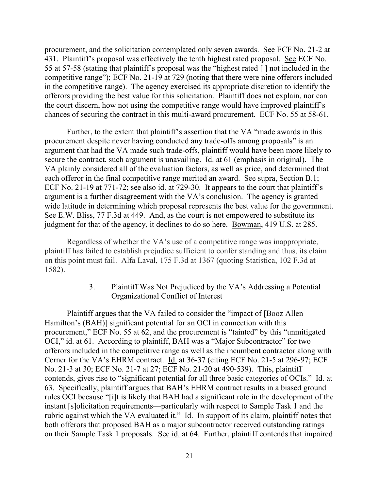procurement, and the solicitation contemplated only seven awards. See ECF No. 21-2 at 431. Plaintiff's proposal was effectively the tenth highest rated proposal. See ECF No. 55 at 57-58 (stating that plaintiff's proposal was the "highest rated [ ] not included in the competitive range"); ECF No. 21-19 at 729 (noting that there were nine offerors included in the competitive range). The agency exercised its appropriate discretion to identify the offerors providing the best value for this solicitation. Plaintiff does not explain, nor can the court discern, how not using the competitive range would have improved plaintiff's chances of securing the contract in this multi-award procurement. ECF No. 55 at 58-61.

Further, to the extent that plaintiff's assertion that the VA "made awards in this procurement despite never having conducted any trade-offs among proposals" is an argument that had the VA made such trade-offs, plaintiff would have been more likely to secure the contract, such argument is unavailing. Id. at 61 (emphasis in original). The VA plainly considered all of the evaluation factors, as well as price, and determined that each offeror in the final competitive range merited an award. See supra, Section B.1; ECF No. 21-19 at 771-72; see also id. at 729-30. It appears to the court that plaintiff's argument is a further disagreement with the VA's conclusion. The agency is granted wide latitude in determining which proposal represents the best value for the government. See E.W. Bliss, 77 F.3d at 449. And, as the court is not empowered to substitute its judgment for that of the agency, it declines to do so here. Bowman, 419 U.S. at 285.

Regardless of whether the VA's use of a competitive range was inappropriate, plaintiff has failed to establish prejudice sufficient to confer standing and thus, its claim on this point must fail. Alfa Laval, 175 F.3d at 1367 (quoting Statistica, 102 F.3d at 1582).

> 3. Plaintiff Was Not Prejudiced by the VA's Addressing a Potential Organizational Conflict of Interest

Plaintiff argues that the VA failed to consider the "impact of [Booz Allen Hamilton's (BAH)] significant potential for an OCI in connection with this procurement," ECF No. 55 at 62, and the procurement is "tainted" by this "unmitigated OCI," id. at 61. According to plaintiff, BAH was a "Major Subcontractor" for two offerors included in the competitive range as well as the incumbent contractor along with Cerner for the VA's EHRM contract. Id. at 36-37 (citing ECF No. 21-5 at 296-97; ECF No. 21-3 at 30; ECF No. 21-7 at 27; ECF No. 21-20 at 490-539). This, plaintiff contends, gives rise to "significant potential for all three basic categories of OCIs." Id. at 63. Specifically, plaintiff argues that BAH's EHRM contract results in a biased ground rules OCI because "[i]t is likely that BAH had a significant role in the development of the instant [s]olicitation requirements—particularly with respect to Sample Task 1 and the rubric against which the VA evaluated it." Id. In support of its claim, plaintiff notes that both offerors that proposed BAH as a major subcontractor received outstanding ratings on their Sample Task 1 proposals. See id. at 64. Further, plaintiff contends that impaired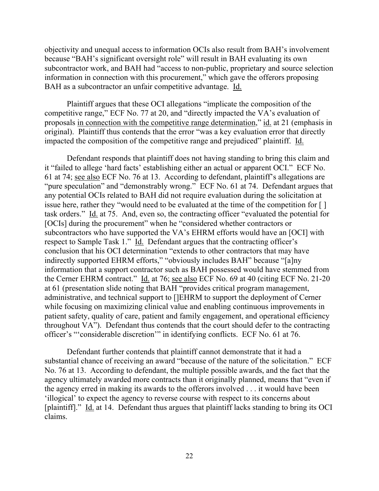objectivity and unequal access to information OCIs also result from BAH's involvement because "BAH's significant oversight role" will result in BAH evaluating its own subcontractor work, and BAH had "access to non-public, proprietary and source selection information in connection with this procurement," which gave the offerors proposing BAH as a subcontractor an unfair competitive advantage. Id.

Plaintiff argues that these OCI allegations "implicate the composition of the competitive range," ECF No. 77 at 20, and "directly impacted the VA's evaluation of proposals in connection with the competitive range determination," id. at 21 (emphasis in original). Plaintiff thus contends that the error "was a key evaluation error that directly impacted the composition of the competitive range and prejudiced" plaintiff. Id.

Defendant responds that plaintiff does not having standing to bring this claim and it "failed to allege 'hard facts' establishing either an actual or apparent OCI." ECF No. 61 at 74; see also ECF No. 76 at 13. According to defendant, plaintiff's allegations are "pure speculation" and "demonstrably wrong." ECF No. 61 at 74. Defendant argues that any potential OCIs related to BAH did not require evaluation during the solicitation at issue here, rather they "would need to be evaluated at the time of the competition for [ ] task orders." Id. at 75. And, even so, the contracting officer "evaluated the potential for [OCIs] during the procurement" when he "considered whether contractors or subcontractors who have supported the VA's EHRM efforts would have an [OCI] with respect to Sample Task 1." Id. Defendant argues that the contracting officer's conclusion that his OCI determination "extends to other contractors that may have indirectly supported EHRM efforts," "obviously includes BAH" because "[a]ny information that a support contractor such as BAH possessed would have stemmed from the Cerner EHRM contract." Id. at 76; see also ECF No. 69 at 40 (citing ECF No. 21-20 at 61 (presentation slide noting that BAH "provides critical program management, administrative, and technical support to []EHRM to support the deployment of Cerner while focusing on maximizing clinical value and enabling continuous improvements in patient safety, quality of care, patient and family engagement, and operational efficiency throughout VA"). Defendant thus contends that the court should defer to the contracting officer's "'considerable discretion'" in identifying conflicts. ECF No. 61 at 76.

Defendant further contends that plaintiff cannot demonstrate that it had a substantial chance of receiving an award "because of the nature of the solicitation." ECF No. 76 at 13. According to defendant, the multiple possible awards, and the fact that the agency ultimately awarded more contracts than it originally planned, means that "even if the agency erred in making its awards to the offerors involved . . . it would have been 'illogical' to expect the agency to reverse course with respect to its concerns about [plaintiff]." Id. at 14. Defendant thus argues that plaintiff lacks standing to bring its OCI claims.